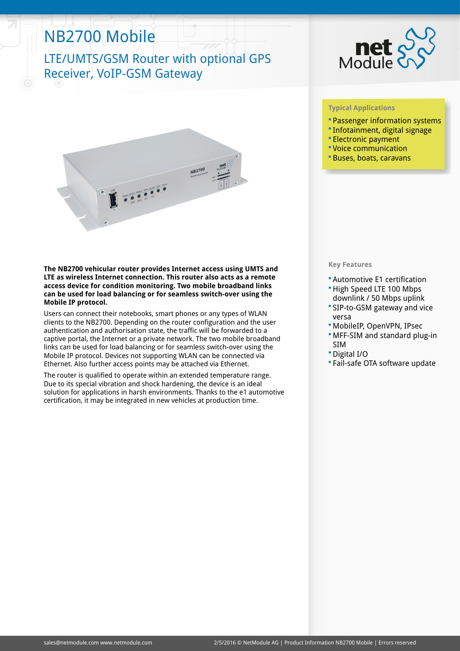# NB2700 Mobile

## LTE/UMTS/GSM Router with optional GPS Receiver, VoIP-GSM Gateway





#### **The NB2700 vehicular router provides Internet access using UMTS and LTE as wireless Internet connection. This router also acts as a remote access device for condition monitoring. Two mobile broadband links can be used for load balancing or for seamless switch-over using the Mobile IP protocol.**

Users can connect their notebooks, smart phones or any types of WLAN clients to the NB2700. Depending on the router configuration and the user authentication and authorisation state, the traffic will be forwarded to a captive portal, the Internet or a private network. The two mobile broadband links can be used for load balancing or for seamless switch-over using the Mobile IP protocol. Devices not supporting WLAN can be connected via Ethernet. Also further access points may be attached via Ethernet.

The router is qualified to operate within an extended temperature range. Due to its special vibration and shock hardening, the device is an ideal solution for applications in harsh environments. Thanks to the e1 automotive certification, it may be integrated in new vehicles at production time.

### **Typical Applications**

- Passenger information systems
- Infotainment, digital signage
- Electronic payment
- Voice communication
- Buses, boats, caravans

### **Key Features**

- Automotive E1 certification
- High Speed LTE 100 Mbps downlink / 50 Mbps uplink
- SIP-to-GSM gateway and vice versa
- MobileIP, OpenVPN, IPsec
- MFF-SIM and standard plug-in SIM
- Digital I/O
- Fail-safe OTA software update